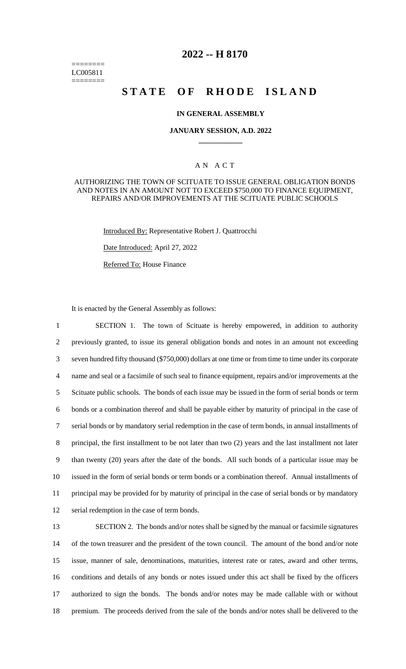======== LC005811 ========

# **2022 -- H 8170**

# **STATE OF RHODE ISLAND**

## **IN GENERAL ASSEMBLY**

## **JANUARY SESSION, A.D. 2022 \_\_\_\_\_\_\_\_\_\_\_\_**

# A N A C T

## AUTHORIZING THE TOWN OF SCITUATE TO ISSUE GENERAL OBLIGATION BONDS AND NOTES IN AN AMOUNT NOT TO EXCEED \$750,000 TO FINANCE EQUIPMENT, REPAIRS AND/OR IMPROVEMENTS AT THE SCITUATE PUBLIC SCHOOLS

Introduced By: Representative Robert J. Quattrocchi

Date Introduced: April 27, 2022

Referred To: House Finance

It is enacted by the General Assembly as follows:

 SECTION 1. The town of Scituate is hereby empowered, in addition to authority previously granted, to issue its general obligation bonds and notes in an amount not exceeding seven hundred fifty thousand (\$750,000) dollars at one time or from time to time under its corporate name and seal or a facsimile of such seal to finance equipment, repairs and/or improvements at the Scituate public schools. The bonds of each issue may be issued in the form of serial bonds or term bonds or a combination thereof and shall be payable either by maturity of principal in the case of serial bonds or by mandatory serial redemption in the case of term bonds, in annual installments of principal, the first installment to be not later than two (2) years and the last installment not later than twenty (20) years after the date of the bonds. All such bonds of a particular issue may be issued in the form of serial bonds or term bonds or a combination thereof. Annual installments of principal may be provided for by maturity of principal in the case of serial bonds or by mandatory serial redemption in the case of term bonds.

 SECTION 2. The bonds and/or notes shall be signed by the manual or facsimile signatures of the town treasurer and the president of the town council. The amount of the bond and/or note issue, manner of sale, denominations, maturities, interest rate or rates, award and other terms, conditions and details of any bonds or notes issued under this act shall be fixed by the officers authorized to sign the bonds. The bonds and/or notes may be made callable with or without premium. The proceeds derived from the sale of the bonds and/or notes shall be delivered to the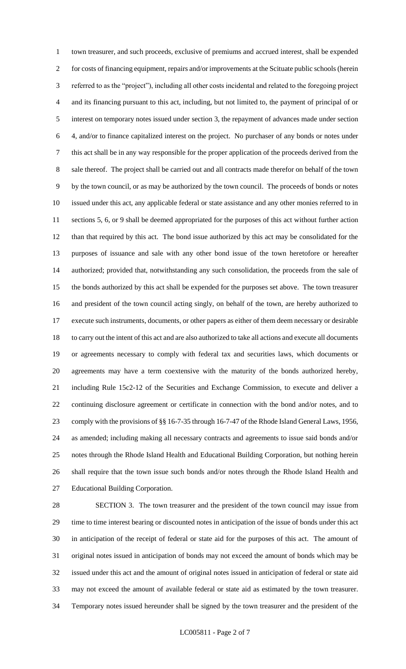town treasurer, and such proceeds, exclusive of premiums and accrued interest, shall be expended for costs of financing equipment, repairs and/or improvements at the Scituate public schools (herein referred to as the "project"), including all other costs incidental and related to the foregoing project and its financing pursuant to this act, including, but not limited to, the payment of principal of or interest on temporary notes issued under section 3, the repayment of advances made under section 4, and/or to finance capitalized interest on the project. No purchaser of any bonds or notes under this act shall be in any way responsible for the proper application of the proceeds derived from the sale thereof. The project shall be carried out and all contracts made therefor on behalf of the town by the town council, or as may be authorized by the town council. The proceeds of bonds or notes issued under this act, any applicable federal or state assistance and any other monies referred to in sections 5, 6, or 9 shall be deemed appropriated for the purposes of this act without further action than that required by this act. The bond issue authorized by this act may be consolidated for the purposes of issuance and sale with any other bond issue of the town heretofore or hereafter authorized; provided that, notwithstanding any such consolidation, the proceeds from the sale of the bonds authorized by this act shall be expended for the purposes set above. The town treasurer and president of the town council acting singly, on behalf of the town, are hereby authorized to execute such instruments, documents, or other papers as either of them deem necessary or desirable to carry out the intent of this act and are also authorized to take all actions and execute all documents or agreements necessary to comply with federal tax and securities laws, which documents or agreements may have a term coextensive with the maturity of the bonds authorized hereby, including Rule 15c2-12 of the Securities and Exchange Commission, to execute and deliver a continuing disclosure agreement or certificate in connection with the bond and/or notes, and to comply with the provisions of §§ 16-7-35 through 16-7-47 of the Rhode Island General Laws, 1956, as amended; including making all necessary contracts and agreements to issue said bonds and/or notes through the Rhode Island Health and Educational Building Corporation, but nothing herein shall require that the town issue such bonds and/or notes through the Rhode Island Health and Educational Building Corporation.

 SECTION 3. The town treasurer and the president of the town council may issue from time to time interest bearing or discounted notes in anticipation of the issue of bonds under this act in anticipation of the receipt of federal or state aid for the purposes of this act. The amount of original notes issued in anticipation of bonds may not exceed the amount of bonds which may be issued under this act and the amount of original notes issued in anticipation of federal or state aid may not exceed the amount of available federal or state aid as estimated by the town treasurer. Temporary notes issued hereunder shall be signed by the town treasurer and the president of the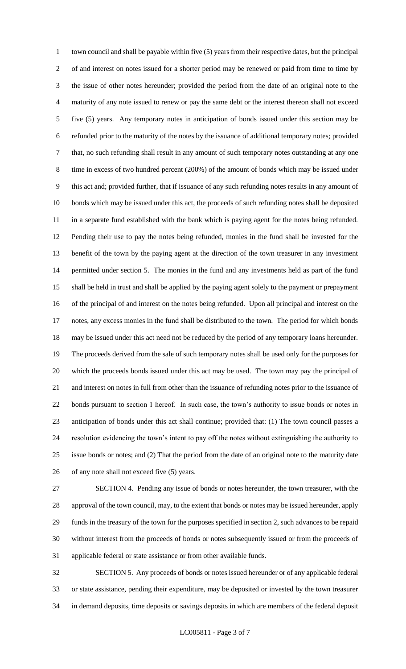town council and shall be payable within five (5) years from their respective dates, but the principal of and interest on notes issued for a shorter period may be renewed or paid from time to time by the issue of other notes hereunder; provided the period from the date of an original note to the maturity of any note issued to renew or pay the same debt or the interest thereon shall not exceed five (5) years. Any temporary notes in anticipation of bonds issued under this section may be refunded prior to the maturity of the notes by the issuance of additional temporary notes; provided that, no such refunding shall result in any amount of such temporary notes outstanding at any one time in excess of two hundred percent (200%) of the amount of bonds which may be issued under this act and; provided further, that if issuance of any such refunding notes results in any amount of bonds which may be issued under this act, the proceeds of such refunding notes shall be deposited 11 in a separate fund established with the bank which is paying agent for the notes being refunded. Pending their use to pay the notes being refunded, monies in the fund shall be invested for the benefit of the town by the paying agent at the direction of the town treasurer in any investment permitted under section 5. The monies in the fund and any investments held as part of the fund shall be held in trust and shall be applied by the paying agent solely to the payment or prepayment of the principal of and interest on the notes being refunded. Upon all principal and interest on the notes, any excess monies in the fund shall be distributed to the town. The period for which bonds may be issued under this act need not be reduced by the period of any temporary loans hereunder. The proceeds derived from the sale of such temporary notes shall be used only for the purposes for which the proceeds bonds issued under this act may be used. The town may pay the principal of and interest on notes in full from other than the issuance of refunding notes prior to the issuance of bonds pursuant to section 1 hereof. In such case, the town's authority to issue bonds or notes in anticipation of bonds under this act shall continue; provided that: (1) The town council passes a resolution evidencing the town's intent to pay off the notes without extinguishing the authority to issue bonds or notes; and (2) That the period from the date of an original note to the maturity date of any note shall not exceed five (5) years.

 SECTION 4. Pending any issue of bonds or notes hereunder, the town treasurer, with the approval of the town council, may, to the extent that bonds or notes may be issued hereunder, apply funds in the treasury of the town for the purposes specified in section 2, such advances to be repaid without interest from the proceeds of bonds or notes subsequently issued or from the proceeds of applicable federal or state assistance or from other available funds.

 SECTION 5. Any proceeds of bonds or notes issued hereunder or of any applicable federal or state assistance, pending their expenditure, may be deposited or invested by the town treasurer in demand deposits, time deposits or savings deposits in which are members of the federal deposit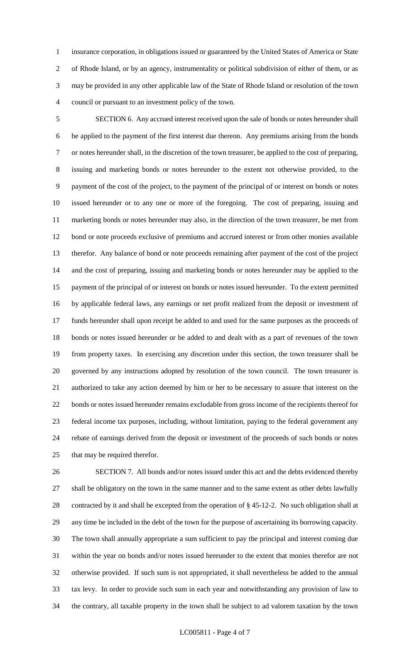insurance corporation, in obligations issued or guaranteed by the United States of America or State of Rhode Island, or by an agency, instrumentality or political subdivision of either of them, or as may be provided in any other applicable law of the State of Rhode Island or resolution of the town council or pursuant to an investment policy of the town.

 SECTION 6. Any accrued interest received upon the sale of bonds or notes hereunder shall be applied to the payment of the first interest due thereon. Any premiums arising from the bonds or notes hereunder shall, in the discretion of the town treasurer, be applied to the cost of preparing, issuing and marketing bonds or notes hereunder to the extent not otherwise provided, to the payment of the cost of the project, to the payment of the principal of or interest on bonds or notes issued hereunder or to any one or more of the foregoing. The cost of preparing, issuing and marketing bonds or notes hereunder may also, in the direction of the town treasurer, be met from bond or note proceeds exclusive of premiums and accrued interest or from other monies available therefor. Any balance of bond or note proceeds remaining after payment of the cost of the project and the cost of preparing, issuing and marketing bonds or notes hereunder may be applied to the payment of the principal of or interest on bonds or notes issued hereunder. To the extent permitted by applicable federal laws, any earnings or net profit realized from the deposit or investment of funds hereunder shall upon receipt be added to and used for the same purposes as the proceeds of bonds or notes issued hereunder or be added to and dealt with as a part of revenues of the town from property taxes. In exercising any discretion under this section, the town treasurer shall be governed by any instructions adopted by resolution of the town council. The town treasurer is authorized to take any action deemed by him or her to be necessary to assure that interest on the bonds or notes issued hereunder remains excludable from gross income of the recipients thereof for federal income tax purposes, including, without limitation, paying to the federal government any rebate of earnings derived from the deposit or investment of the proceeds of such bonds or notes that may be required therefor.

 SECTION 7. All bonds and/or notes issued under this act and the debts evidenced thereby shall be obligatory on the town in the same manner and to the same extent as other debts lawfully contracted by it and shall be excepted from the operation of § 45-12-2. No such obligation shall at any time be included in the debt of the town for the purpose of ascertaining its borrowing capacity. The town shall annually appropriate a sum sufficient to pay the principal and interest coming due within the year on bonds and/or notes issued hereunder to the extent that monies therefor are not otherwise provided. If such sum is not appropriated, it shall nevertheless be added to the annual tax levy. In order to provide such sum in each year and notwithstanding any provision of law to the contrary, all taxable property in the town shall be subject to ad valorem taxation by the town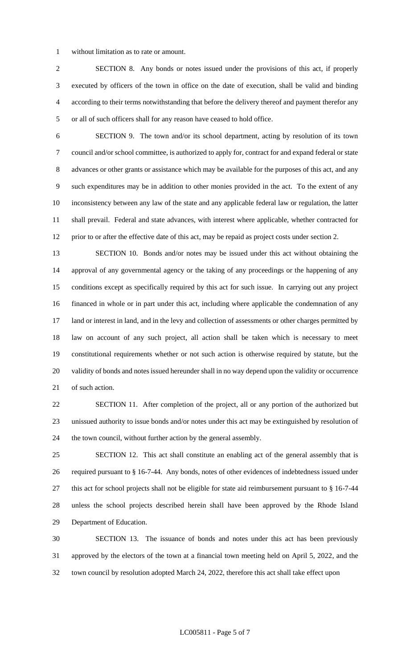without limitation as to rate or amount.

 SECTION 8. Any bonds or notes issued under the provisions of this act, if properly executed by officers of the town in office on the date of execution, shall be valid and binding according to their terms notwithstanding that before the delivery thereof and payment therefor any or all of such officers shall for any reason have ceased to hold office.

 SECTION 9. The town and/or its school department, acting by resolution of its town council and/or school committee, is authorized to apply for, contract for and expand federal or state advances or other grants or assistance which may be available for the purposes of this act, and any such expenditures may be in addition to other monies provided in the act. To the extent of any inconsistency between any law of the state and any applicable federal law or regulation, the latter shall prevail. Federal and state advances, with interest where applicable, whether contracted for prior to or after the effective date of this act, may be repaid as project costs under section 2.

 SECTION 10. Bonds and/or notes may be issued under this act without obtaining the approval of any governmental agency or the taking of any proceedings or the happening of any conditions except as specifically required by this act for such issue. In carrying out any project financed in whole or in part under this act, including where applicable the condemnation of any 17 land or interest in land, and in the levy and collection of assessments or other charges permitted by law on account of any such project, all action shall be taken which is necessary to meet constitutional requirements whether or not such action is otherwise required by statute, but the validity of bonds and notes issued hereunder shall in no way depend upon the validity or occurrence of such action.

 SECTION 11. After completion of the project, all or any portion of the authorized but unissued authority to issue bonds and/or notes under this act may be extinguished by resolution of the town council, without further action by the general assembly.

 SECTION 12. This act shall constitute an enabling act of the general assembly that is required pursuant to § 16-7-44. Any bonds, notes of other evidences of indebtedness issued under this act for school projects shall not be eligible for state aid reimbursement pursuant to § 16-7-44 unless the school projects described herein shall have been approved by the Rhode Island Department of Education.

 SECTION 13. The issuance of bonds and notes under this act has been previously approved by the electors of the town at a financial town meeting held on April 5, 2022, and the town council by resolution adopted March 24, 2022, therefore this act shall take effect upon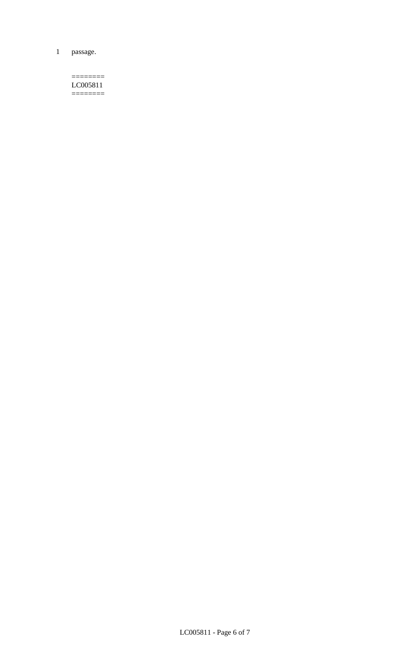1 passage.

#### $=$ LC005811  $=$